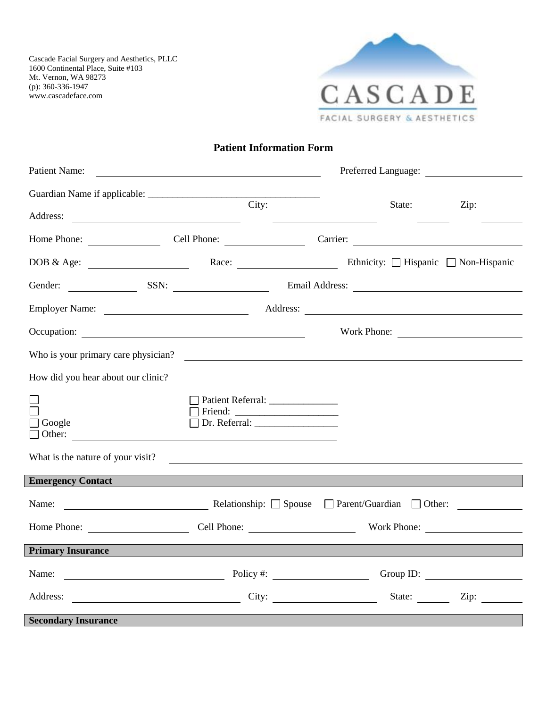

### **Patient Information Form**

| Patient Name:                                                                                                                                                                                                                 |                                  | Preferred Language: |      |  |  |
|-------------------------------------------------------------------------------------------------------------------------------------------------------------------------------------------------------------------------------|----------------------------------|---------------------|------|--|--|
|                                                                                                                                                                                                                               |                                  |                     |      |  |  |
| Address:                                                                                                                                                                                                                      | City:                            | State:              | Zip: |  |  |
| Home Phone: Cell Phone: Cell Phone: Carrier: Carrier:                                                                                                                                                                         |                                  |                     |      |  |  |
| DOB & Age: <u>Non-Hispanic</u> Race: Race: Ethnicity: □ Hispanic □ Non-Hispanic                                                                                                                                               |                                  |                     |      |  |  |
| Gender: SSN: SSN: Email Address: Canadian Contract Contract Address: Contract Contract Contract Contract Contract Contract Contract Contract Contract Contract Contract Contract Contract Contract Contract Contract Contract |                                  |                     |      |  |  |
|                                                                                                                                                                                                                               |                                  |                     |      |  |  |
|                                                                                                                                                                                                                               |                                  | Work Phone:         |      |  |  |
| Who is your primary care physician?                                                                                                                                                                                           |                                  |                     |      |  |  |
| How did you hear about our clinic?                                                                                                                                                                                            |                                  |                     |      |  |  |
| $\Box$ Google<br>What is the nature of your visit?                                                                                                                                                                            | Patient Referral: ______________ |                     |      |  |  |
| <b>Emergency Contact</b>                                                                                                                                                                                                      |                                  |                     |      |  |  |
| Name: Name: Name: Name: Name: Name: Name: Name: Name: Name: Name: Name: Name: Name: Name: Name: Name: Name: Name: Name: Name: Name: Name: Name: Name: Name: Name: Name: Name: Name: Name: Name: Name: Name: Name: Name: Name: |                                  |                     |      |  |  |
| Home Phone: Cell Phone: Work Phone: Work Phone:                                                                                                                                                                               |                                  |                     |      |  |  |
| <b>Primary Insurance Executive Contract 2016</b>                                                                                                                                                                              |                                  |                     |      |  |  |
| Name: Name: Name: Name: Name: Name: Name: Name: Name: Name: Name: Name: Name: Name: Name: Name: Name: Name: Name: Name: Name: Name: Name: Name: Name: Name: Name: Name: Name: Name: Name: Name: Name: Name: Name: Name: Name: |                                  |                     |      |  |  |
| Address: City: City: State: Zip: Zip:                                                                                                                                                                                         |                                  |                     |      |  |  |
| <b>Secondary Insurance</b>                                                                                                                                                                                                    |                                  |                     |      |  |  |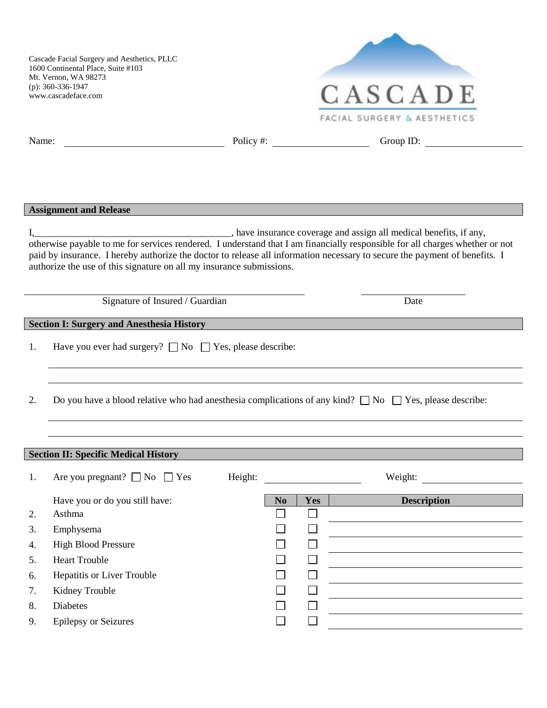

| Name: |                                                                                                                                                                                                                                  |         |                |            | Group ID:<br>Policy #: $\qquad \qquad$                                                                                                                                                                                                                     |
|-------|----------------------------------------------------------------------------------------------------------------------------------------------------------------------------------------------------------------------------------|---------|----------------|------------|------------------------------------------------------------------------------------------------------------------------------------------------------------------------------------------------------------------------------------------------------------|
|       |                                                                                                                                                                                                                                  |         |                |            |                                                                                                                                                                                                                                                            |
|       |                                                                                                                                                                                                                                  |         |                |            |                                                                                                                                                                                                                                                            |
|       |                                                                                                                                                                                                                                  |         |                |            |                                                                                                                                                                                                                                                            |
|       | <b>Assignment and Release</b>                                                                                                                                                                                                    |         |                |            |                                                                                                                                                                                                                                                            |
|       | I, have insurance coverage and assign all medical benefits, if any,                                                                                                                                                              |         |                |            |                                                                                                                                                                                                                                                            |
|       |                                                                                                                                                                                                                                  |         |                |            | otherwise payable to me for services rendered. I understand that I am financially responsible for all charges whether or not<br>paid by insurance. I hereby authorize the doctor to release all information necessary to secure the payment of benefits. I |
|       | authorize the use of this signature on all my insurance submissions.                                                                                                                                                             |         |                |            |                                                                                                                                                                                                                                                            |
|       |                                                                                                                                                                                                                                  |         |                |            |                                                                                                                                                                                                                                                            |
|       | Signature of Insured / Guardian                                                                                                                                                                                                  |         |                |            | Date                                                                                                                                                                                                                                                       |
|       | <b>Section I: Surgery and Anesthesia History</b>                                                                                                                                                                                 |         |                |            | <u> 1989 - Germany Start, amerikan beste beste beste beste beste beste beste beste beste beste beste beste beste</u>                                                                                                                                       |
| 1.    | Have you ever had surgery? $\Box$ No $\Box$ Yes, please describe:                                                                                                                                                                |         |                |            |                                                                                                                                                                                                                                                            |
|       |                                                                                                                                                                                                                                  |         |                |            |                                                                                                                                                                                                                                                            |
|       |                                                                                                                                                                                                                                  |         |                |            |                                                                                                                                                                                                                                                            |
| 2.    |                                                                                                                                                                                                                                  |         |                |            | Do you have a blood relative who had anesthesia complications of any kind? $\Box$ No $\Box$ Yes, please describe:                                                                                                                                          |
|       |                                                                                                                                                                                                                                  |         |                |            | ,我们也不会有什么。""我们的人,我们也不会有什么?""我们的人,我们也不会有什么?""我们的人,我们也不会有什么?""我们的人,我们也不会有什么?""我们的人                                                                                                                                                                           |
|       |                                                                                                                                                                                                                                  |         |                |            |                                                                                                                                                                                                                                                            |
|       |                                                                                                                                                                                                                                  |         |                |            |                                                                                                                                                                                                                                                            |
|       | <b>Section II: Specific Medical History Section 2006 Contract Contract Contract Contract Contract Contract Contract Contract Contract Contract Contract Contract Contract Contract Contract Contract Contract Contract Contr</b> |         |                |            |                                                                                                                                                                                                                                                            |
| 1.    | Are you pregnant? $\Box$ No $\Box$ Yes                                                                                                                                                                                           | Height: |                |            |                                                                                                                                                                                                                                                            |
|       | Have you or do you still have:                                                                                                                                                                                                   |         | N <sub>0</sub> | <b>Yes</b> | <b>Description</b>                                                                                                                                                                                                                                         |
| 2.    | Asthma                                                                                                                                                                                                                           |         |                |            |                                                                                                                                                                                                                                                            |
| 3.    | Emphysema                                                                                                                                                                                                                        |         |                |            |                                                                                                                                                                                                                                                            |
| 4.    | <b>High Blood Pressure</b>                                                                                                                                                                                                       |         |                |            |                                                                                                                                                                                                                                                            |
| 5.    | <b>Heart Trouble</b>                                                                                                                                                                                                             |         |                |            |                                                                                                                                                                                                                                                            |
| 6.    | Hepatitis or Liver Trouble                                                                                                                                                                                                       |         |                |            |                                                                                                                                                                                                                                                            |
| 7.    | Kidney Trouble                                                                                                                                                                                                                   |         |                |            |                                                                                                                                                                                                                                                            |
| 8.    | <b>Diabetes</b><br><b>Epilepsy or Seizures</b>                                                                                                                                                                                   |         |                |            |                                                                                                                                                                                                                                                            |
| 9.    |                                                                                                                                                                                                                                  |         |                |            |                                                                                                                                                                                                                                                            |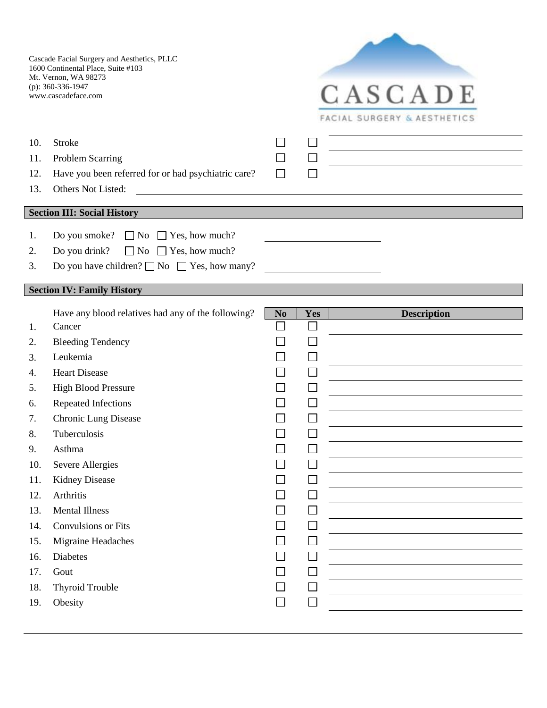

| 10. | <b>Stroke</b>                                                                                                                               |                             |     |                    |
|-----|---------------------------------------------------------------------------------------------------------------------------------------------|-----------------------------|-----|--------------------|
| 11. | Problem Scarring                                                                                                                            |                             |     |                    |
| 12. | Have you been referred for or had psychiatric care?                                                                                         | $\mathbf{L}$                |     |                    |
| 13. | Others Not Listed:<br><u> 1989 - Johann Harry Harry Harry Harry Harry Harry Harry Harry Harry Harry Harry Harry Harry Harry Harry Harry</u> |                             |     |                    |
|     |                                                                                                                                             |                             |     |                    |
|     | <b>Section III: Social History</b>                                                                                                          |                             |     |                    |
| 1.  | Do you smoke? $\Box$ No $\Box$ Yes, how much?                                                                                               |                             |     |                    |
| 2.  | $\Box$ No $\Box$ Yes, how much?<br>Do you drink?                                                                                            |                             |     |                    |
| 3.  | Do you have children? $\Box$ No $\Box$ Yes, how many?                                                                                       |                             |     |                    |
|     |                                                                                                                                             |                             |     |                    |
|     | <b>Section IV: Family History</b>                                                                                                           |                             |     |                    |
|     | Have any blood relatives had any of the following?                                                                                          | N <sub>0</sub>              | Yes | <b>Description</b> |
| 1.  | Cancer                                                                                                                                      |                             |     |                    |
| 2.  | <b>Bleeding Tendency</b>                                                                                                                    |                             |     |                    |
| 3.  | Leukemia                                                                                                                                    |                             |     |                    |
| 4.  | <b>Heart Disease</b>                                                                                                                        |                             |     |                    |
| 5.  | <b>High Blood Pressure</b>                                                                                                                  |                             |     |                    |
| 6.  | Repeated Infections                                                                                                                         |                             |     |                    |
| 7.  | <b>Chronic Lung Disease</b>                                                                                                                 |                             | L   |                    |
| 8.  | Tuberculosis                                                                                                                                |                             |     |                    |
| 9.  | Asthma                                                                                                                                      |                             |     |                    |
| 10. | Severe Allergies                                                                                                                            |                             |     |                    |
| 11. | <b>Kidney Disease</b>                                                                                                                       |                             |     |                    |
| 12. | Arthritis                                                                                                                                   |                             |     |                    |
| 13. | <b>Mental Illness</b>                                                                                                                       |                             |     |                    |
| 14. | <b>Convulsions or Fits</b>                                                                                                                  |                             |     |                    |
| 15. | Migraine Headaches                                                                                                                          |                             |     |                    |
| 16. | Diabetes                                                                                                                                    |                             |     |                    |
| 17. | Gout                                                                                                                                        |                             |     |                    |
| 18. | <b>Thyroid Trouble</b>                                                                                                                      |                             |     |                    |
| 19. | Obesity                                                                                                                                     | $\mathcal{L}_{\mathcal{A}}$ |     |                    |
|     |                                                                                                                                             |                             |     |                    |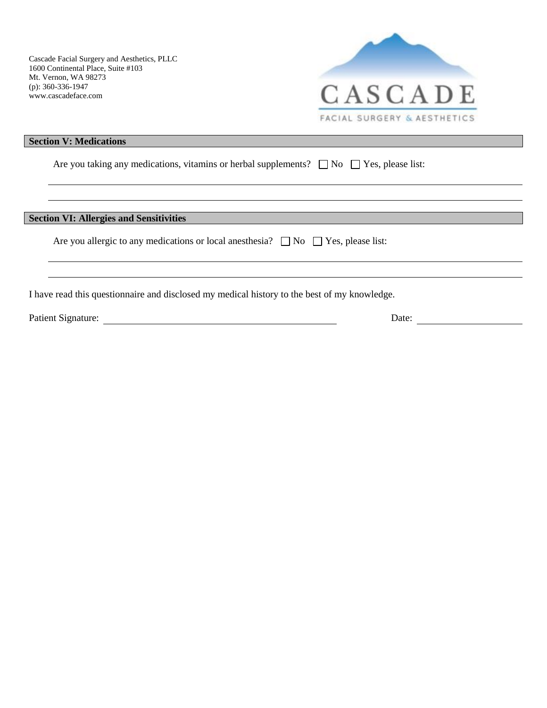

<u> 1980 - Johann Stoff, deutscher Stoffen und der Stoffen und der Stoffen und der Stoffen und der Stoffen und der</u>

#### **Section V: Medications**

Are you taking any medications, vitamins or herbal supplements?  $\Box$  No  $\Box$  Yes, please list:

#### **Section VI: Allergies and Sensitivities**

Are you allergic to any medications or local anesthesia?  $\Box$  No  $\Box$  Yes, please list:

I have read this questionnaire and disclosed my medical history to the best of my knowledge.

|  | Patient Signature: |
|--|--------------------|
|--|--------------------|

Pate: <u>Date:</u> Date: 2002.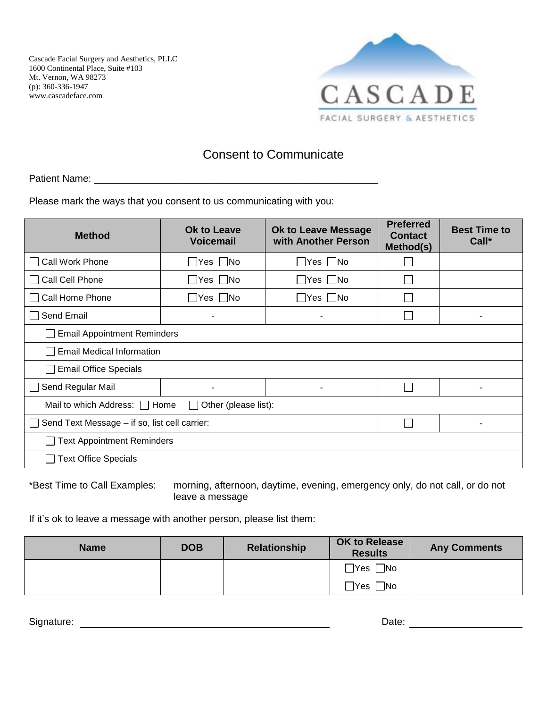

## Consent to Communicate

Patient Name: \_\_\_\_\_\_\_\_\_\_\_\_\_\_\_\_\_\_\_\_\_\_\_\_\_\_\_\_\_\_\_\_\_\_\_\_\_\_\_\_\_\_\_\_\_\_\_\_\_\_\_\_

Please mark the ways that you consent to us communicating with you:

| <b>Method</b>                                                         | Ok to Leave<br><b>Voicemail</b> | <b>Ok to Leave Message</b><br>with Another Person | <b>Preferred</b><br><b>Contact</b><br>Method(s) | <b>Best Time to</b><br>Call* |  |  |
|-----------------------------------------------------------------------|---------------------------------|---------------------------------------------------|-------------------------------------------------|------------------------------|--|--|
| Call Work Phone<br>$\mathsf{I}$                                       | $\Box$ Yes $\Box$ No            | $\Box$ Yes $\Box$ No                              |                                                 |                              |  |  |
| Call Cell Phone<br>$\mathbf{L}$                                       | $\Box$ Yes $\Box$ No            | $\Box$ Yes $\Box$ No                              |                                                 |                              |  |  |
| Call Home Phone<br>$\mathbf{I}$                                       | Yes    No                       | Yes    No                                         |                                                 |                              |  |  |
| Send Email<br>$\mathbf{1}$                                            |                                 | ٠                                                 |                                                 | ۰                            |  |  |
| <b>Email Appointment Reminders</b>                                    |                                 |                                                   |                                                 |                              |  |  |
| <b>Email Medical Information</b>                                      |                                 |                                                   |                                                 |                              |  |  |
| <b>Email Office Specials</b>                                          |                                 |                                                   |                                                 |                              |  |  |
| Send Regular Mail<br>$\mathbf{L}$                                     | ۰                               | $\blacksquare$                                    |                                                 | -                            |  |  |
| Mail to which Address: □ Home<br>Other (please list):<br>$\mathbf{L}$ |                                 |                                                   |                                                 |                              |  |  |
| Send Text Message - if so, list cell carrier:<br>$\mathbf{L}$<br>۰    |                                 |                                                   |                                                 |                              |  |  |
| <b>Text Appointment Reminders</b>                                     |                                 |                                                   |                                                 |                              |  |  |
| <b>Text Office Specials</b>                                           |                                 |                                                   |                                                 |                              |  |  |

\*Best Time to Call Examples: morning, afternoon, daytime, evening, emergency only, do not call, or do not leave a message

If it's ok to leave a message with another person, please list them:

| <b>Name</b> | <b>DOB</b> | <b>Relationship</b> | <b>OK to Release</b><br><b>Results</b> | <b>Any Comments</b> |
|-------------|------------|---------------------|----------------------------------------|---------------------|
|             |            |                     | $\bigcap$ Yes $\bigcap$ No             |                     |
|             |            |                     | $\square$ No<br>□Yes 」                 |                     |

Signature: Date: